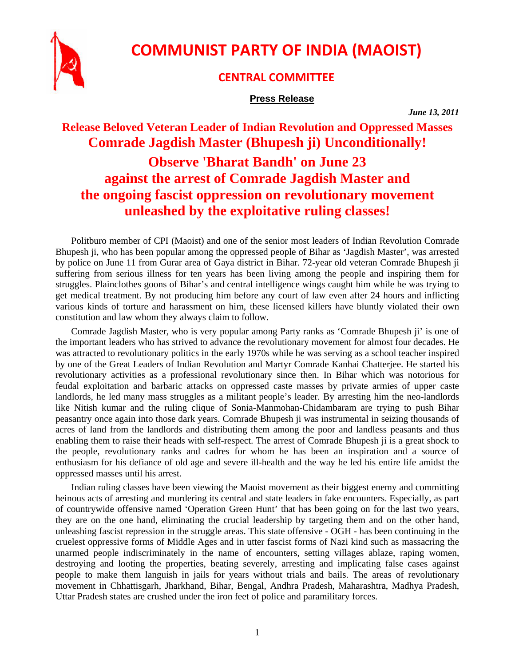

## **COMMUNIST PARTY OF INDIA (MAOIST)**

## **CENTRAL COMMITTEE**

## **Press Release**

*June 13, 2011* 

**Release Beloved Veteran Leader of Indian Revolution and Oppressed Masses Comrade Jagdish Master (Bhupesh ji) Unconditionally!** 

## **Observe 'Bharat Bandh' on June 23 against the arrest of Comrade Jagdish Master and the ongoing fascist oppression on revolutionary movement unleashed by the exploitative ruling classes!**

Politburo member of CPI (Maoist) and one of the senior most leaders of Indian Revolution Comrade Bhupesh ji, who has been popular among the oppressed people of Bihar as 'Jagdish Master', was arrested by police on June 11 from Gurar area of Gaya district in Bihar. 72-year old veteran Comrade Bhupesh ji suffering from serious illness for ten years has been living among the people and inspiring them for struggles. Plainclothes goons of Bihar's and central intelligence wings caught him while he was trying to get medical treatment. By not producing him before any court of law even after 24 hours and inflicting various kinds of torture and harassment on him, these licensed killers have bluntly violated their own constitution and law whom they always claim to follow.

Comrade Jagdish Master, who is very popular among Party ranks as 'Comrade Bhupesh ji' is one of the important leaders who has strived to advance the revolutionary movement for almost four decades. He was attracted to revolutionary politics in the early 1970s while he was serving as a school teacher inspired by one of the Great Leaders of Indian Revolution and Martyr Comrade Kanhai Chatterjee. He started his revolutionary activities as a professional revolutionary since then. In Bihar which was notorious for feudal exploitation and barbaric attacks on oppressed caste masses by private armies of upper caste landlords, he led many mass struggles as a militant people's leader. By arresting him the neo-landlords like Nitish kumar and the ruling clique of Sonia-Manmohan-Chidambaram are trying to push Bihar peasantry once again into those dark years. Comrade Bhupesh ji was instrumental in seizing thousands of acres of land from the landlords and distributing them among the poor and landless peasants and thus enabling them to raise their heads with self-respect. The arrest of Comrade Bhupesh ji is a great shock to the people, revolutionary ranks and cadres for whom he has been an inspiration and a source of enthusiasm for his defiance of old age and severe ill-health and the way he led his entire life amidst the oppressed masses until his arrest.

Indian ruling classes have been viewing the Maoist movement as their biggest enemy and committing heinous acts of arresting and murdering its central and state leaders in fake encounters. Especially, as part of countrywide offensive named 'Operation Green Hunt' that has been going on for the last two years, they are on the one hand, eliminating the crucial leadership by targeting them and on the other hand, unleashing fascist repression in the struggle areas. This state offensive - OGH - has been continuing in the cruelest oppressive forms of Middle Ages and in utter fascist forms of Nazi kind such as massacring the unarmed people indiscriminately in the name of encounters, setting villages ablaze, raping women, destroying and looting the properties, beating severely, arresting and implicating false cases against people to make them languish in jails for years without trials and bails. The areas of revolutionary movement in Chhattisgarh, Jharkhand, Bihar, Bengal, Andhra Pradesh, Maharashtra, Madhya Pradesh, Uttar Pradesh states are crushed under the iron feet of police and paramilitary forces.